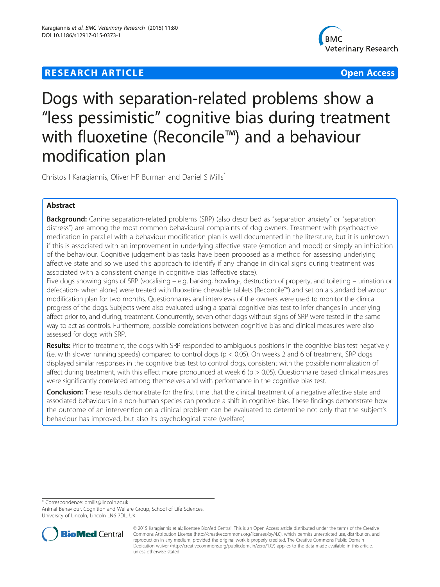## **RESEARCH ARTICLE Example 2014 12:30 The Contract of Contract ACCESS**



# Dogs with separation-related problems show a "less pessimistic" cognitive bias during treatment with fluoxetine (Reconcile™) and a behaviour modification plan

Christos I Karagiannis, Oliver HP Burman and Daniel S Mills\*

## Abstract

**Background:** Canine separation-related problems (SRP) (also described as "separation anxiety" or "separation distress") are among the most common behavioural complaints of dog owners. Treatment with psychoactive medication in parallel with a behaviour modification plan is well documented in the literature, but it is unknown if this is associated with an improvement in underlying affective state (emotion and mood) or simply an inhibition of the behaviour. Cognitive judgement bias tasks have been proposed as a method for assessing underlying affective state and so we used this approach to identify if any change in clinical signs during treatment was associated with a consistent change in cognitive bias (affective state).

Five dogs showing signs of SRP (vocalising – e.g. barking, howling-, destruction of property, and toileting – urination or defecation- when alone) were treated with fluoxetine chewable tablets (Reconcile™) and set on a standard behaviour modification plan for two months. Questionnaires and interviews of the owners were used to monitor the clinical progress of the dogs. Subjects were also evaluated using a spatial cognitive bias test to infer changes in underlying affect prior to, and during, treatment. Concurrently, seven other dogs without signs of SRP were tested in the same way to act as controls. Furthermore, possible correlations between cognitive bias and clinical measures were also assessed for dogs with SRP.

Results: Prior to treatment, the dogs with SRP responded to ambiguous positions in the cognitive bias test negatively (i.e. with slower running speeds) compared to control dogs (p < 0.05). On weeks 2 and 6 of treatment, SRP dogs displayed similar responses in the cognitive bias test to control dogs, consistent with the possible normalization of affect during treatment, with this effect more pronounced at week  $6$  (p  $> 0.05$ ). Questionnaire based clinical measures were significantly correlated among themselves and with performance in the cognitive bias test.

Conclusion: These results demonstrate for the first time that the clinical treatment of a negative affective state and associated behaviours in a non-human species can produce a shift in cognitive bias. These findings demonstrate how the outcome of an intervention on a clinical problem can be evaluated to determine not only that the subject's behaviour has improved, but also its psychological state (welfare)

\* Correspondence: [dmills@lincoln.ac.uk](mailto:dmills@lincoln.ac.uk)

Animal Behaviour, Cognition and Welfare Group, School of Life Sciences, University of Lincoln, Lincoln LN6 7DL, UK



<sup>© 2015</sup> Karagiannis et al.; licensee BioMed Central. This is an Open Access article distributed under the terms of the Creative Commons Attribution License [\(http://creativecommons.org/licenses/by/4.0\)](http://creativecommons.org/licenses/by/4.0), which permits unrestricted use, distribution, and reproduction in any medium, provided the original work is properly credited. The Creative Commons Public Domain Dedication waiver [\(http://creativecommons.org/publicdomain/zero/1.0/](http://creativecommons.org/publicdomain/zero/1.0/)) applies to the data made available in this article, unless otherwise stated.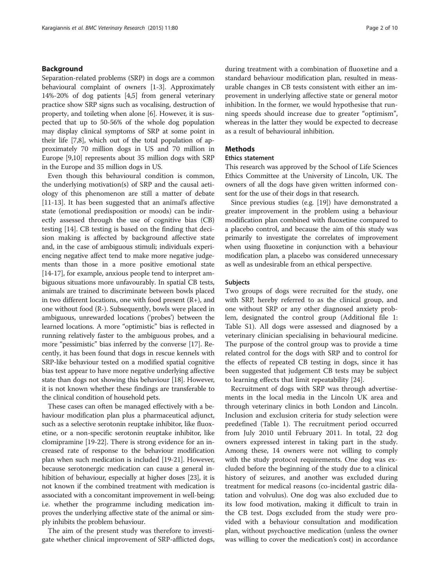### Background

Separation-related problems (SRP) in dogs are a common behavioural complaint of owners [[1-3\]](#page-9-0). Approximately 14%-20% of dog patients [\[4,5](#page-9-0)] from general veterinary practice show SRP signs such as vocalising, destruction of property, and toileting when alone [[6](#page-9-0)]. However, it is suspected that up to 50-56% of the whole dog population may display clinical symptoms of SRP at some point in their life [\[7,8\]](#page-9-0), which out of the total population of approximately 70 million dogs in US and 70 million in Europe [\[9,10\]](#page-9-0) represents about 35 million dogs with SRP in the Europe and 35 million dogs in US.

Even though this behavioural condition is common, the underlying motivation(s) of SRP and the causal aetiology of this phenomenon are still a matter of debate [[11-13](#page-9-0)]. It has been suggested that an animal's affective state (emotional predisposition or moods) can be indirectly assessed through the use of cognitive bias (CB) testing [\[14\]](#page-9-0). CB testing is based on the finding that decision making is affected by background affective state and, in the case of ambiguous stimuli; individuals experiencing negative affect tend to make more negative judgements than those in a more positive emotional state [[14](#page-9-0)-[17\]](#page-9-0), for example, anxious people tend to interpret ambiguous situations more unfavourably. In spatial CB tests, animals are trained to discriminate between bowls placed in two different locations, one with food present  $(R+)$ , and one without food (R-). Subsequently, bowls were placed in ambiguous, unrewarded locations ('probes') between the learned locations. A more "optimistic" bias is reflected in running relatively faster to the ambiguous probes, and a more "pessimistic" bias inferred by the converse [[17](#page-9-0)]. Recently, it has been found that dogs in rescue kennels with SRP-like behaviour tested on a modified spatial cognitive bias test appear to have more negative underlying affective state than dogs not showing this behaviour [\[18](#page-9-0)]. However, it is not known whether these findings are transferable to the clinical condition of household pets.

These cases can often be managed effectively with a behaviour modification plan plus a pharmaceutical adjunct, such as a selective serotonin reuptake inhibitor, like fluoxetine, or a non-specific serotonin reuptake inhibitor, like clomipramine [\[19](#page-9-0)-[22](#page-9-0)]. There is strong evidence for an increased rate of response to the behaviour modification plan when such medication is included [[19-21\]](#page-9-0). However, because serotonergic medication can cause a general inhibition of behaviour, especially at higher doses [\[23\]](#page-9-0), it is not known if the combined treatment with medication is associated with a concomitant improvement in well-being; i.e. whether the programme including medication improves the underlying affective state of the animal or simply inhibits the problem behaviour.

The aim of the present study was therefore to investigate whether clinical improvement of SRP-afflicted dogs, during treatment with a combination of fluoxetine and a standard behaviour modification plan, resulted in measurable changes in CB tests consistent with either an improvement in underlying affective state or general motor inhibition. In the former, we would hypothesise that running speeds should increase due to greater "optimism", whereas in the latter they would be expected to decrease as a result of behavioural inhibition.

## Methods

### Ethics statement

This research was approved by the School of Life Sciences Ethics Committee at the University of Lincoln, UK. The owners of all the dogs have given written informed consent for the use of their dogs in that research.

Since previous studies (e.g. [\[19\]](#page-9-0)) have demonstrated a greater improvement in the problem using a behaviour modification plan combined with fluoxetine compared to a placebo control, and because the aim of this study was primarily to investigate the correlates of improvement when using fluoxetine in conjunction with a behaviour modification plan, a placebo was considered unnecessary as well as undesirable from an ethical perspective.

#### Subjects

Two groups of dogs were recruited for the study, one with SRP, hereby referred to as the clinical group, and one without SRP or any other diagnosed anxiety problem, designated the control group (Additional file [1](#page-8-0): Table S1). All dogs were assessed and diagnosed by a veterinary clinician specialising in behavioural medicine. The purpose of the control group was to provide a time related control for the dogs with SRP and to control for the effects of repeated CB testing in dogs, since it has been suggested that judgement CB tests may be subject to learning effects that limit repeatability [\[24\]](#page-9-0).

Recruitment of dogs with SRP was through advertisements in the local media in the Lincoln UK area and through veterinary clinics in both London and Lincoln. Inclusion and exclusion criteria for study selection were predefined (Table [1\)](#page-2-0). The recruitment period occurred from July 2010 until February 2011. In total, 22 dog owners expressed interest in taking part in the study. Among these, 14 owners were not willing to comply with the study protocol requirements. One dog was excluded before the beginning of the study due to a clinical history of seizures, and another was excluded during treatment for medical reasons (co-incidental gastric dilatation and volvulus). One dog was also excluded due to its low food motivation, making it difficult to train in the CB test. Dogs excluded from the study were provided with a behaviour consultation and modification plan, without psychoactive medication (unless the owner was willing to cover the medication's cost) in accordance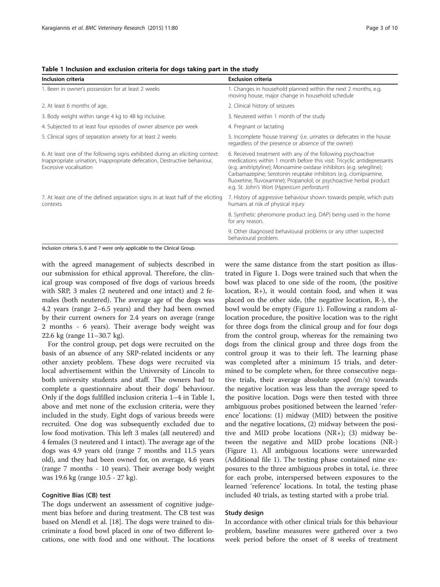<span id="page-2-0"></span>

|  |  |  |  |  | Table 1 Inclusion and exclusion criteria for dogs taking part in the study |  |  |  |  |  |  |  |  |
|--|--|--|--|--|----------------------------------------------------------------------------|--|--|--|--|--|--|--|--|
|--|--|--|--|--|----------------------------------------------------------------------------|--|--|--|--|--|--|--|--|

| Inclusion criteria                                                                                                                                                                   | <b>Exclusion criteria</b>                                                                                                                                                                                                                                                                                                                                                                                   |
|--------------------------------------------------------------------------------------------------------------------------------------------------------------------------------------|-------------------------------------------------------------------------------------------------------------------------------------------------------------------------------------------------------------------------------------------------------------------------------------------------------------------------------------------------------------------------------------------------------------|
| 1. Been in owner's possession for at least 2 weeks                                                                                                                                   | 1. Changes in household planned within the next 2 months, e.g.<br>moving house, major change in household schedule                                                                                                                                                                                                                                                                                          |
| 2. At least 6 months of age.                                                                                                                                                         | 2. Clinical history of seizures                                                                                                                                                                                                                                                                                                                                                                             |
| 3. Body weight within range 4 kg to 48 kg inclusive.                                                                                                                                 | 3. Neutered within 1 month of the study                                                                                                                                                                                                                                                                                                                                                                     |
| 4. Subjected to at least four episodes of owner absence per week                                                                                                                     | 4. Pregnant or lactating                                                                                                                                                                                                                                                                                                                                                                                    |
| 5. Clinical signs of separation anxiety for at least 2 weeks                                                                                                                         | 5. Incomplete 'house training' (i.e. urinates or defecates in the house<br>regardless of the presence or absence of the owner)                                                                                                                                                                                                                                                                              |
| 6. At least one of the following signs exhibited during an eliciting context:<br>Inappropriate urination, Inappropriate defecation, Destructive behaviour,<br>Excessive vocalisation | 6. Received treatment with any of the following psychoactive<br>medications within 1 month before this visit: Tricyclic antidepressants<br>(e.g. amitriptyline); Monoamine oxidase inhibitors (e.g. selegiline);<br>Carbamazepine; Serotonin reuptake inhibitors (e.g. clomipramine,<br>fluoxetine, fluvoxamine); Propanolol; or psychoactive herbal product<br>e.g. St. John's Wort (Hypericum perforatum) |
| 7. At least one of the defined separation signs in at least half of the eliciting<br>contexts                                                                                        | 7. History of aggressive behaviour shown towards people, which puts<br>humans at risk of physical injury                                                                                                                                                                                                                                                                                                    |
|                                                                                                                                                                                      | 8. Synthetic pheromone product (e.g. DAP) being used in the home<br>for any reason.                                                                                                                                                                                                                                                                                                                         |
|                                                                                                                                                                                      | 9. Other diagnosed behavioural problems or any other suspected<br>behavioural problem.                                                                                                                                                                                                                                                                                                                      |

Inclusion criteria 5, 6 and 7 were only applicable to the Clinical Group.

with the agreed management of subjects described in our submission for ethical approval. Therefore, the clinical group was composed of five dogs of various breeds with SRP, 3 males (2 neutered and one intact) and 2 females (both neutered). The average age of the dogs was 4.2 years (range 2–6.5 years) and they had been owned by their current owners for 2.4 years on average (range 2 months - 6 years). Their average body weight was 22.6 kg (range 11–30.7 kg).

For the control group, pet dogs were recruited on the basis of an absence of any SRP-related incidents or any other anxiety problem. These dogs were recruited via local advertisement within the University of Lincoln to both university students and staff. The owners had to complete a questionnaire about their dogs' behaviour. Only if the dogs fulfilled inclusion criteria 1–4 in Table 1, above and met none of the exclusion criteria, were they included in the study. Eight dogs of various breeds were recruited. One dog was subsequently excluded due to low food motivation. This left 3 males (all neutered) and 4 females (3 neutered and 1 intact). The average age of the dogs was 4.9 years old (range 7 months and 11.5 years old), and they had been owned for, on average, 4.6 years (range 7 months - 10 years). Their average body weight was 19.6 kg (range 10.5 - 27 kg).

## Cognitive Bias (CB) test

The dogs underwent an assessment of cognitive judgement bias before and during treatment. The CB test was based on Mendl et al. [\[18](#page-9-0)]. The dogs were trained to discriminate a food bowl placed in one of two different locations, one with food and one without. The locations were the same distance from the start position as illustrated in Figure [1](#page-3-0). Dogs were trained such that when the bowl was placed to one side of the room, (the positive location, R+), it would contain food, and when it was placed on the other side, (the negative location, R-), the bowl would be empty (Figure [1\)](#page-3-0). Following a random allocation procedure, the positive location was to the right for three dogs from the clinical group and for four dogs from the control group, whereas for the remaining two dogs from the clinical group and three dogs from the control group it was to their left. The learning phase was completed after a minimum 15 trials, and determined to be complete when, for three consecutive negative trials, their average absolute speed (m/s) towards the negative location was less than the average speed to the positive location. Dogs were then tested with three ambiguous probes positioned between the learned 'reference' locations: (1) midway (MID) between the positive and the negative locations, (2) midway between the positive and MID probe locations (NR+); (3) midway between the negative and MID probe locations (NR-) (Figure [1](#page-3-0)). All ambiguous locations were unrewarded (Additional file [1](#page-8-0)). The testing phase contained nine exposures to the three ambiguous probes in total, i.e. three for each probe, interspersed between exposures to the learned 'reference' locations. In total, the testing phase included 40 trials, as testing started with a probe trial.

## Study design

In accordance with other clinical trials for this behaviour problem, baseline measures were gathered over a two week period before the onset of 8 weeks of treatment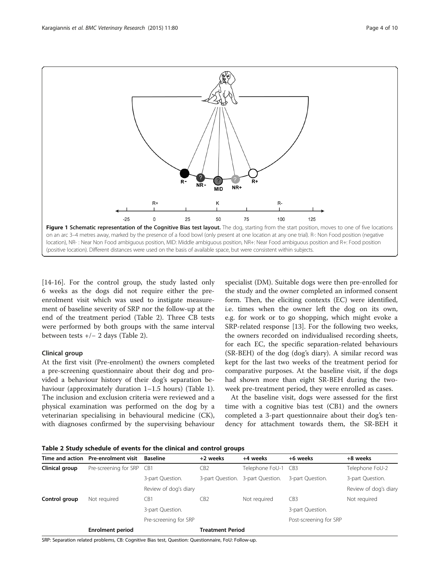<span id="page-3-0"></span>

[[14-16](#page-9-0)]. For the control group, the study lasted only 6 weeks as the dogs did not require either the preenrolment visit which was used to instigate measurement of baseline severity of SRP nor the follow-up at the end of the treatment period (Table 2). Three CB tests were performed by both groups with the same interval between tests +/− 2 days (Table 2).

## Clinical group

At the first visit (Pre-enrolment) the owners completed a pre-screening questionnaire about their dog and provided a behaviour history of their dog's separation behaviour (approximately duration 1–1.5 hours) (Table [1](#page-2-0)). The inclusion and exclusion criteria were reviewed and a physical examination was performed on the dog by a veterinarian specialising in behavioural medicine (CK), with diagnoses confirmed by the supervising behaviour

specialist (DM). Suitable dogs were then pre-enrolled for the study and the owner completed an informed consent form. Then, the eliciting contexts (EC) were identified, i.e. times when the owner left the dog on its own, e.g. for work or to go shopping, which might evoke a SRP-related response [[13\]](#page-9-0). For the following two weeks, the owners recorded on individualised recording sheets, for each EC, the specific separation-related behaviours (SR-BEH) of the dog (dog's diary). A similar record was kept for the last two weeks of the treatment period for comparative purposes. At the baseline visit, if the dogs had shown more than eight SR-BEH during the twoweek pre-treatment period, they were enrolled as cases.

At the baseline visit, dogs were assessed for the first time with a cognitive bias test (CB1) and the owners completed a 3-part questionnaire about their dog's tendency for attachment towards them, the SR-BEH it

Table 2 Study schedule of events for the clinical and control groups

| Time and action | Pre-enrolment visit       | <b>Baseline</b>       | +2 weeks                | +4 weeks                          | +6 weeks               | +8 weeks              |
|-----------------|---------------------------|-----------------------|-------------------------|-----------------------------------|------------------------|-----------------------|
| Clinical group  | Pre-screening for SRP CB1 |                       | CB <sub>2</sub>         | Telephone FoU-1 CB3               |                        | Telephone FoU-2       |
|                 |                           | 3-part Question.      |                         | 3-part Question. 3-part Question. | 3-part Question.       | 3-part Question.      |
|                 |                           | Review of dog's diary |                         |                                   |                        | Review of dog's diary |
| Control group   | Not required              | CB1                   | CB <sub>2</sub>         | Not required                      | CB <sub>3</sub>        | Not required          |
|                 |                           | 3-part Question.      |                         |                                   | 3-part Question.       |                       |
|                 |                           | Pre-screening for SRP |                         |                                   | Post-screening for SRP |                       |
|                 | <b>Enrolment period</b>   |                       | <b>Treatment Period</b> |                                   |                        |                       |

SRP: Separation related problems, CB: Cognitive Bias test, Question: Questionnaire, FoU: Follow-up.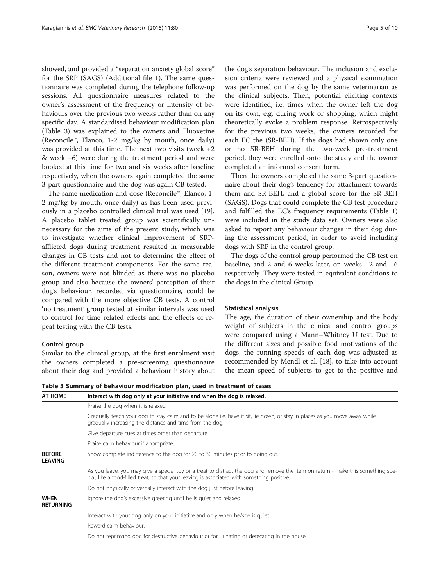showed, and provided a "separation anxiety global score" for the SRP (SAGS) (Additional file [1\)](#page-8-0). The same questionnaire was completed during the telephone follow-up sessions. All questionnaire measures related to the owner's assessment of the frequency or intensity of behaviours over the previous two weeks rather than on any specific day. A standardised behaviour modification plan (Table 3) was explained to the owners and Fluoxetine (Reconcile™, Elanco, 1-2 mg/kg by mouth, once daily) was provided at this time. The next two visits (week +2 & week +6) were during the treatment period and were booked at this time for two and six weeks after baseline respectively, when the owners again completed the same 3-part questionnaire and the dog was again CB tested.

The same medication and dose (Reconcile™, Elanco, 1- 2 mg/kg by mouth, once daily) as has been used previously in a placebo controlled clinical trial was used [\[19](#page-9-0)]. A placebo tablet treated group was scientifically unnecessary for the aims of the present study, which was to investigate whether clinical improvement of SRPafflicted dogs during treatment resulted in measurable changes in CB tests and not to determine the effect of the different treatment components. For the same reason, owners were not blinded as there was no placebo group and also because the owners' perception of their dog's behaviour, recorded via questionnaire, could be compared with the more objective CB tests. A control 'no treatment' group tested at similar intervals was used to control for time related effects and the effects of repeat testing with the CB tests.

## Control group

Similar to the clinical group, at the first enrolment visit the owners completed a pre-screening questionnaire about their dog and provided a behaviour history about

the dog's separation behaviour. The inclusion and exclusion criteria were reviewed and a physical examination was performed on the dog by the same veterinarian as the clinical subjects. Then, potential eliciting contexts were identified, i.e. times when the owner left the dog on its own, e.g. during work or shopping, which might theoretically evoke a problem response. Retrospectively for the previous two weeks, the owners recorded for each EC the (SR-BEH). If the dogs had shown only one or no SR-BEH during the two-week pre-treatment period, they were enrolled onto the study and the owner completed an informed consent form.

Then the owners completed the same 3-part questionnaire about their dog's tendency for attachment towards them and SR-BEH, and a global score for the SR-BEH (SAGS). Dogs that could complete the CB test procedure and fulfilled the EC's frequency requirements (Table [1](#page-2-0)) were included in the study data set. Owners were also asked to report any behaviour changes in their dog during the assessment period, in order to avoid including dogs with SRP in the control group.

The dogs of the control group performed the CB test on baseline, and 2 and 6 weeks later, on weeks  $+2$  and  $+6$ respectively. They were tested in equivalent conditions to the dogs in the clinical Group.

### Statistical analysis

The age, the duration of their ownership and the body weight of subjects in the clinical and control groups were compared using a Mann–Whitney U test. Due to the different sizes and possible food motivations of the dogs, the running speeds of each dog was adjusted as recommended by Mendl et al. [\[18](#page-9-0)], to take into account the mean speed of subjects to get to the positive and

Table 3 Summary of behaviour modification plan, used in treatment of cases

| <b>AT HOME</b>                  | Interact with dog only at your initiative and when the dog is relaxed.                                                                                                                                                          |
|---------------------------------|---------------------------------------------------------------------------------------------------------------------------------------------------------------------------------------------------------------------------------|
|                                 | Praise the dog when it is relaxed.                                                                                                                                                                                              |
|                                 | Gradually teach your dog to stay calm and to be alone i.e. have it sit, lie down, or stay in places as you move away while<br>gradually increasing the distance and time from the dog.                                          |
|                                 | Give departure cues at times other than departure.                                                                                                                                                                              |
|                                 | Praise calm behaviour if appropriate.                                                                                                                                                                                           |
| <b>BEFORE</b><br><b>LEAVING</b> | Show complete indifference to the dog for 20 to 30 minutes prior to going out.                                                                                                                                                  |
|                                 | As you leave, you may give a special toy or a treat to distract the dog and remove the item on return - make this something spe-<br>cial, like a food-filled treat, so that your leaving is associated with something positive. |
|                                 | Do not physically or verbally interact with the dog just before leaving.                                                                                                                                                        |
| <b>WHEN</b><br><b>RETURNING</b> | lgnore the dog's excessive greeting until he is quiet and relaxed.                                                                                                                                                              |
|                                 | Interact with your dog only on your initiative and only when he/she is quiet.                                                                                                                                                   |
|                                 | Reward calm behaviour.                                                                                                                                                                                                          |
|                                 | Do not reprimand dog for destructive behaviour or for urinating or defecating in the house.                                                                                                                                     |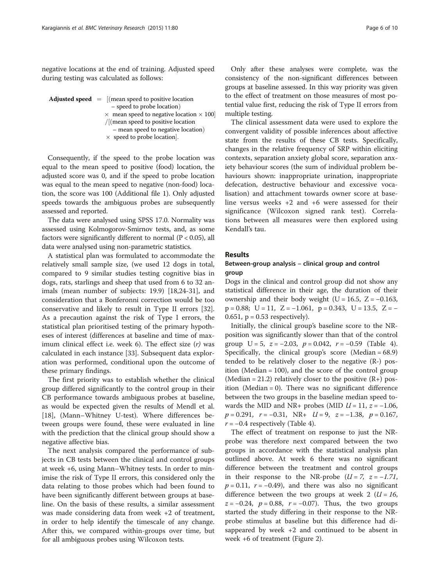negative locations at the end of training. Adjusted speed during testing was calculated as follows:

Adjusted speed  $=$  [(mean speed to positive location  $-$  speed to probe location)  $\times$  mean speed to negative location  $\times$  100  $/$ [(mean speed to positive location  $-$  mean speed to negative location)  $\times$  speed to probe location].

Consequently, if the speed to the probe location was equal to the mean speed to positive (food) location, the adjusted score was 0, and if the speed to probe location was equal to the mean speed to negative (non-food) location, the score was 100 (Additional file [1](#page-8-0)). Only adjusted speeds towards the ambiguous probes are subsequently assessed and reported.

The data were analysed using SPSS 17.0. Normality was assessed using Kolmogorov-Smirnov tests, and, as some factors were significantly different to normal ( $P < 0.05$ ), all data were analysed using non-parametric statistics.

A statistical plan was formulated to accommodate the relatively small sample size, (we used 12 dogs in total, compared to 9 similar studies testing cognitive bias in dogs, rats, starlings and sheep that used from 6 to 32 animals (mean number of subjects: 19.9) [\[18,24](#page-9-0)-[31](#page-9-0)], and consideration that a Bonferonni correction would be too conservative and likely to result in Type II errors [\[32](#page-9-0)]. As a precaution against the risk of Type I errors, the statistical plan prioritised testing of the primary hypotheses of interest (differences at baseline and time of maximum clinical effect i.e. week 6). The effect size (r) was calculated in each instance [[33\]](#page-9-0). Subsequent data exploration was performed, conditional upon the outcome of these primary findings.

The first priority was to establish whether the clinical group differed significantly to the control group in their CB performance towards ambiguous probes at baseline, as would be expected given the results of Mendl et al. [[18\]](#page-9-0), (Mann–Whitney U-test). Where differences between groups were found, these were evaluated in line with the prediction that the clinical group should show a negative affective bias.

The next analysis compared the performance of subjects in CB tests between the clinical and control groups at week +6, using Mann–Whitney tests. In order to minimise the risk of Type II errors, this considered only the data relating to those probes which had been found to have been significantly different between groups at baseline. On the basis of these results, a similar assessment was made considering data from week +2 of treatment, in order to help identify the timescale of any change. After this, we compared within-groups over time, but for all ambiguous probes using Wilcoxon tests.

Only after these analyses were complete, was the consistency of the non-significant differences between groups at baseline assessed. In this way priority was given to the effect of treatment on those measures of most potential value first, reducing the risk of Type II errors from multiple testing.

The clinical assessment data were used to explore the convergent validity of possible inferences about affective state from the results of these CB tests. Specifically, changes in the relative frequency of SRP within eliciting contexts, separation anxiety global score, separation anxiety behaviour scores (the sum of individual problem behaviours shown: inappropriate urination, inappropriate defecation, destructive behaviour and excessive vocalisation) and attachment towards owner score at baseline versus weeks +2 and +6 were assessed for their significance (Wilcoxon signed rank test). Correlations between all measures were then explored using Kendall's tau.

## Results

## Between-group analysis – clinical group and control group

Dogs in the clinical and control group did not show any statistical difference in their age, the duration of their ownership and their body weight (U = 16.5, Z =  $-0.163$ ,  $p = 0.88$ ; U = 11, Z = -1.061,  $p = 0.343$ , U = 13.5, Z = -0.651,  $p = 0.53$  respectively).

Initially, the clinical group's baseline score to the NRposition was significantly slower than that of the control group  $U = 5$ ,  $z = -2.03$ ,  $p = 0.042$ ,  $r = -0.59$  (Table [4](#page-6-0)). Specifically, the clinical group's score (Median = 68.9) tended to be relatively closer to the negative (R-) position (Median = 100), and the score of the control group (Median = 21.2) relatively closer to the positive  $(R+)$  position (Median = 0). There was no significant difference between the two groups in the baseline median speed towards the MID and NR+ probes (MID  $U = 11$ ,  $z = -1.06$ ,  $p = 0.291$ ,  $r = -0.31$ , NR+  $U = 9$ ,  $z = -1.38$ ,  $p = 0.167$ ,  $r = -0.4$  respectively (Table [4](#page-6-0)).

The effect of treatment on response to just the NRprobe was therefore next compared between the two groups in accordance with the statistical analysis plan outlined above. At week 6 there was no significant difference between the treatment and control groups in their response to the NR-probe  $(U = 7, z = -1.71,$  $p = 0.11$ ,  $r = -0.49$ ), and there was also no significant difference between the two groups at week 2 ( $U = 16$ ,  $z = -0.24$ ,  $p = 0.88$ ,  $r = -0.07$ ). Thus, the two groups started the study differing in their response to the NRprobe stimulus at baseline but this difference had disappeared by week +2 and continued to be absent in week +6 of treatment (Figure [2](#page-6-0)).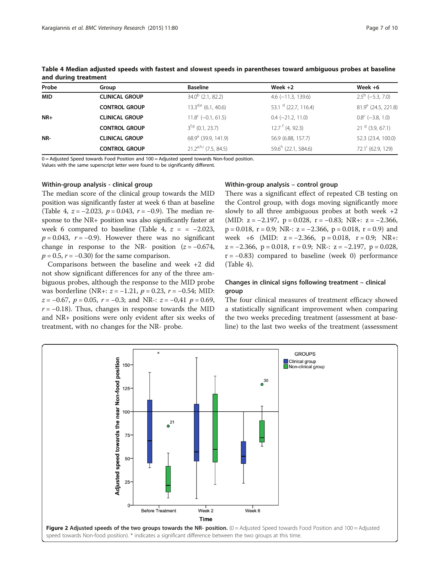| Group                 | <b>Baseline</b>                 | Week $+2$                | Week $+6$                 |  |
|-----------------------|---------------------------------|--------------------------|---------------------------|--|
| <b>CLINICAL GROUP</b> | $34.0^b$ (2.1, 82.2)            | $4.6$ ( $-11.3$ , 139.6) | $2.5^{\circ}$ (-5.3, 7.0) |  |
| <b>CONTROL GROUP</b>  | $13.3^{d,e}$ (6.1, 40.6)        | 53.1 $d$ (22.7, 116.4)   | $81.9^e$ (24.5, 221.8)    |  |
| <b>CLINICAL GROUP</b> | $11.8^c$ (-0.1, 61.5)           | $0.4$ (-21.2, 11.0)      | $0.8^{\circ}$ (-3.8, 1.0) |  |
| <b>CONTROL GROUP</b>  | $3^{f,g}$ (0.1, 23.7)           | $12.7 f$ (4, 92.3)       | $219$ (3.9, 67.1)         |  |
| <b>CLINICAL GROUP</b> | 68.9 <sup>a</sup> (39.9, 141.9) | 56.9 (6.88, 157.7)       | 52.3 (23.4, 100.0)        |  |
| <b>CONTROL GROUP</b>  | $21.2^{a,h,i}$ (7.5, 84.5)      | $59.6h$ (22.1, 584.6)    | 72.1' (62.9, 129)         |  |
|                       |                                 |                          |                           |  |

<span id="page-6-0"></span>Table 4 Median adjusted speeds with fastest and slowest speeds in parentheses toward ambiguous probes at baseline and during treatment

0 = Adjusted Speed towards Food Position and 100 = Adjusted speed towards Non-food position.

Values with the same superscript letter were found to be significantly different.

## Within-group analysis - clinical group

The median score of the clinical group towards the MID position was significantly faster at week 6 than at baseline (Table 4,  $z = -2.023$ ,  $p = 0.043$ ,  $r = -0.9$ ). The median response to the NR+ position was also significantly faster at week 6 compared to baseline (Table 4,  $z = -2.023$ ,  $p = 0.043$ ,  $r = -0.9$ ). However there was no significant change in response to the NR- position  $(z = -0.674,$  $p = 0.5$ ,  $r = -0.30$  for the same comparison.

Comparisons between the baseline and week +2 did not show significant differences for any of the three ambiguous probes, although the response to the MID probe was borderline (NR+:  $z = -1.21$ ,  $p = 0.23$ ,  $r = -0.54$ ; MID:  $z = -0.67$ ,  $p = 0.05$ ,  $r = -0.3$ ; and NR-:  $z = -0.41$   $p = 0.69$ ,  $r = -0.18$ ). Thus, changes in response towards the MID and NR+ positions were only evident after six weeks of treatment, with no changes for the NR- probe.

## Within-group analysis – control group

There was a significant effect of repeated CB testing on the Control group, with dogs moving significantly more slowly to all three ambiguous probes at both week  $+2$ (MID:  $z = -2.197$ ,  $p = 0.028$ ,  $r = -0.83$ ; NR+:  $z = -2.366$ ,  $p = 0.018$ ,  $r = 0.9$ ; NR-:  $z = -2.366$ ,  $p = 0.018$ ,  $r = 0.9$ ) and week +6 (MID:  $z = -2.366$ ,  $p = 0.018$ ,  $r = 0.9$ ; NR+:  $z = -2.366$ ,  $p = 0.018$ ,  $r = 0.9$ ; NR-:  $z = -2.197$ ,  $p = 0.028$ ,  $r = -0.83$ ) compared to baseline (week 0) performance (Table 4).

## Changes in clinical signs following treatment – clinical group

The four clinical measures of treatment efficacy showed a statistically significant improvement when comparing the two weeks preceding treatment (assessment at baseline) to the last two weeks of the treatment (assessment

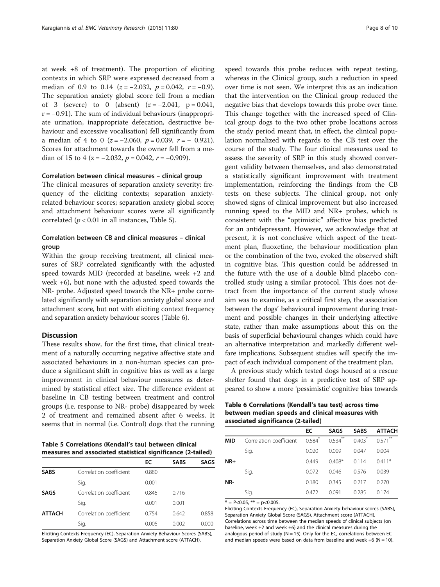<span id="page-7-0"></span>at week +8 of treatment). The proportion of eliciting contexts in which SRP were expressed decreased from a median of 0.9 to 0.14 ( $z = -2.032$ ,  $p = 0.042$ ,  $r = -0.9$ ). The separation anxiety global score fell from a median of 3 (severe) to 0 (absent)  $(z = -2.041, p = 0.041,$  $r = -0.91$ ). The sum of individual behaviours (inappropriate urination, inappropriate defecation, destructive behaviour and excessive vocalisation) fell significantly from a median of 4 to 0 ( $z = -2.060$ ,  $p = 0.039$ ,  $r = -0.921$ ). Scores for attachment towards the owner fell from a median of 15 to 4 (z =  $-2.032$ ,  $p = 0.042$ ,  $r = -0.909$ ).

#### Correlation between clinical measures – clinical group

The clinical measures of separation anxiety severity: frequency of the eliciting contexts; separation anxietyrelated behaviour scores; separation anxiety global score; and attachment behaviour scores were all significantly correlated ( $p < 0.01$  in all instances, Table 5).

## Correlation between CB and clinical measures – clinical group

Within the group receiving treatment, all clinical measures of SRP correlated significantly with the adjusted speed towards MID (recorded at baseline, week +2 and week +6), but none with the adjusted speed towards the NR- probe. Adjusted speed towards the NR+ probe correlated significantly with separation anxiety global score and attachment score, but not with eliciting context frequency and separation anxiety behaviour scores (Table 6).

### Discussion

These results show, for the first time, that clinical treatment of a naturally occurring negative affective state and associated behaviours in a non-human species can produce a significant shift in cognitive bias as well as a large improvement in clinical behaviour measures as determined by statistical effect size. The difference evident at baseline in CB testing between treatment and control groups (i.e. response to NR- probe) disappeared by week 2 of treatment and remained absent after 6 weeks. It seems that in normal (i.e. Control) dogs that the running

Table 5 Correlations (Kendall's tau) between clinical measures and associated statistical significance (2-tailed)

|               |                         | EC    | <b>SABS</b> | SAGS  |
|---------------|-------------------------|-------|-------------|-------|
| <b>SABS</b>   | Correlation coefficient | 0.880 |             |       |
|               | Sig.                    | 0.001 |             |       |
| <b>SAGS</b>   | Correlation coefficient | 0.845 | 0.716       |       |
|               | Sig.                    | 0.001 | 0.001       |       |
| <b>ATTACH</b> | Correlation coefficient | 0.754 | 0.642       | 0.858 |
|               | Sig.                    | 0.005 | 0.002       | 0.000 |

Eliciting Contexts Frequency (EC), Separation Anxiety Behaviour Scores (SABS), Separation Anxiety Global Score (SAGS) and Attachment score (ATTACH).

speed towards this probe reduces with repeat testing, whereas in the Clinical group, such a reduction in speed over time is not seen. We interpret this as an indication that the intervention on the Clinical group reduced the negative bias that develops towards this probe over time. This change together with the increased speed of Clinical group dogs to the two other probe locations across the study period meant that, in effect, the clinical population normalized with regards to the CB test over the course of the study. The four clinical measures used to assess the severity of SRP in this study showed convergent validity between themselves, and also demonstrated a statistically significant improvement with treatment implementation, reinforcing the findings from the CB tests on these subjects. The clinical group, not only showed signs of clinical improvement but also increased running speed to the MID and NR+ probes, which is consistent with the "optimistic" affective bias predicted for an antidepressant. However, we acknowledge that at present, it is not conclusive which aspect of the treatment plan, fluoxetine, the behaviour modification plan or the combination of the two, evoked the observed shift in cognitive bias. This question could be addressed in the future with the use of a double blind placebo controlled study using a similar protocol. This does not detract from the importance of the current study whose aim was to examine, as a critical first step, the association between the dogs' behavioural improvement during treatment and possible changes in their underlying affective state, rather than make assumptions about this on the basis of superficial behavioural changes which could have an alternative interpretation and markedly different welfare implications. Subsequent studies will specify the impact of each individual component of the treatment plan.

A previous study which tested dogs housed at a rescue shelter found that dogs in a predictive test of SRP appeared to show a more 'pessimistic' cognitive bias towards

## Table 6 Correlations (Kendall's tau test) across time between median speeds and clinical measures with associated significance (2-tailed)

|            |                         | EC    | <b>SAGS</b>                 | <b>SABS</b>          | <b>ATTACH</b>  |
|------------|-------------------------|-------|-----------------------------|----------------------|----------------|
| <b>MID</b> | Correlation coefficient | 0.584 | **<br>$0.534$ <sup>**</sup> | $0.403$ <sup>2</sup> | $***$<br>0.571 |
|            | Sig.                    | 0.020 | 0.009                       | 0.047                | 0.004          |
| $NR+$      |                         | 0.449 | $0.408*$                    | 0.114                | $0.411*$       |
|            | Sig.                    | 0.072 | 0.046                       | 0.576                | 0.039          |
| NR-        |                         | 0.180 | 0.345                       | 0.217                | 0.270          |
|            | Sig.                    | 0.472 | 0.091                       | 0.285                | 0174           |
|            |                         |       |                             |                      |                |

 $* = P<0.05$ ,  $** = P<0.005$ .

Eliciting Contexts Frequency (EC), Separation Anxiety behaviour scores (SABS), Separation Anxiety Global Score (SAGS), Attachment score (ATTACH). Correlations across time between the median speeds of clinical subjects (on baseline, week +2 and week +6) and the clinical measures during the analogous period of study ( $N = 15$ ). Only for the EC, correlations between EC and median speeds were based on data from baseline and week  $+6$  (N = 10).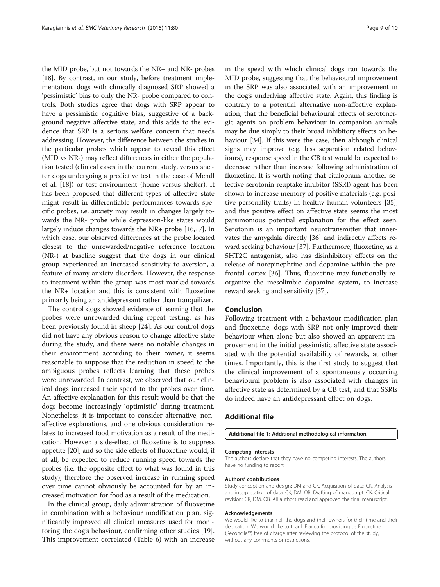<span id="page-8-0"></span>the MID probe, but not towards the NR+ and NR- probes [[18](#page-9-0)]. By contrast, in our study, before treatment implementation, dogs with clinically diagnosed SRP showed a 'pessimistic' bias to only the NR- probe compared to controls. Both studies agree that dogs with SRP appear to have a pessimistic cognitive bias, suggestive of a background negative affective state, and this adds to the evidence that SRP is a serious welfare concern that needs addressing. However, the difference between the studies in the particular probes which appear to reveal this effect (MID vs NR-) may reflect differences in either the population tested (clinical cases in the current study, versus shelter dogs undergoing a predictive test in the case of Mendl et al. [[18\]](#page-9-0)) or test environment (home versus shelter). It has been proposed that different types of affective state might result in differentiable performances towards specific probes, i.e. anxiety may result in changes largely towards the NR- probe while depression-like states would largely induce changes towards the NR+ probe [\[16,17\]](#page-9-0). In which case, our observed differences at the probe located closest to the unrewarded/negative reference location (NR-) at baseline suggest that the dogs in our clinical group experienced an increased sensitivity to aversion, a feature of many anxiety disorders. However, the response to treatment within the group was most marked towards the NR+ location and this is consistent with fluoxetine primarily being an antidepressant rather than tranquilizer.

The control dogs showed evidence of learning that the probes were unrewarded during repeat testing, as has been previously found in sheep [\[24](#page-9-0)]. As our control dogs did not have any obvious reason to change affective state during the study, and there were no notable changes in their environment according to their owner, it seems reasonable to suppose that the reduction in speed to the ambiguous probes reflects learning that these probes were unrewarded. In contrast, we observed that our clinical dogs increased their speed to the probes over time. An affective explanation for this result would be that the dogs become increasingly 'optimistic' during treatment. Nonetheless, it is important to consider alternative, nonaffective explanations, and one obvious consideration relates to increased food motivation as a result of the medication. However, a side-effect of fluoxetine is to suppress appetite [\[20\]](#page-9-0), and so the side effects of fluoxetine would, if at all, be expected to reduce running speed towards the probes (i.e. the opposite effect to what was found in this study), therefore the observed increase in running speed over time cannot obviously be accounted for by an increased motivation for food as a result of the medication.

In the clinical group, daily administration of fluoxetine in combination with a behaviour modification plan, significantly improved all clinical measures used for monitoring the dog's behaviour, confirming other studies [\[19](#page-9-0)]. This improvement correlated (Table [6\)](#page-7-0) with an increase

in the speed with which clinical dogs ran towards the MID probe, suggesting that the behavioural improvement in the SRP was also associated with an improvement in the dog's underlying affective state. Again, this finding is contrary to a potential alternative non-affective explanation, that the beneficial behavioural effects of serotonergic agents on problem behaviour in companion animals may be due simply to their broad inhibitory effects on be-haviour [[34](#page-9-0)]. If this were the case, then although clinical signs may improve (e.g. less separation related behaviours), response speed in the CB test would be expected to decrease rather than increase following administration of fluoxetine. It is worth noting that citalopram, another selective serotonin reuptake inhibitor (SSRI) agent has been shown to increase memory of positive materials (e.g. positive personality traits) in healthy human volunteers [[35](#page-9-0)], and this positive effect on affective state seems the most parsimonious potential explanation for the effect seen. Serotonin is an important neurotransmitter that innervates the amygdala directly [\[36\]](#page-9-0) and indirectly affects reward seeking behaviour [\[37\]](#page-9-0). Furthermore, fluoxetine, as a 5HT2C antagonist, also has disinhibitory effects on the release of norepinephrine and dopamine within the prefrontal cortex [\[36\]](#page-9-0). Thus, fluoxetine may functionally reorganize the mesolimbic dopamine system, to increase reward seeking and sensitivity [[37](#page-9-0)].

## Conclusion

Following treatment with a behaviour modification plan and fluoxetine, dogs with SRP not only improved their behaviour when alone but also showed an apparent improvement in the initial pessimistic affective state associated with the potential availability of rewards, at other times. Importantly, this is the first study to suggest that the clinical improvement of a spontaneously occurring behavioural problem is also associated with changes in affective state as determined by a CB test, and that SSRIs do indeed have an antidepressant effect on dogs.

## Additional file

#### [Additional file 1:](http://www.biomedcentral.com/content/supplementary/s12917-015-0373-1-s1.doc) Additional methodological information.

#### Competing interests

The authors declare that they have no competing interests. The authors have no funding to report.

#### Authors' contributions

Study conception and design: DM and CK, Acquisition of data: CK, Analysis and interpretation of data: CK, DM, OB, Drafting of manuscript: CK, Critical revision: CK, DM, OB. All authors read and approved the final manuscript.

#### Acknowledgements

We would like to thank all the dogs and their owners for their time and their dedication. We would like to thank Elanco for providing us Fluoxetine (Reconcile™) free of charge after reviewing the protocol of the study, without any comments or restrictions.